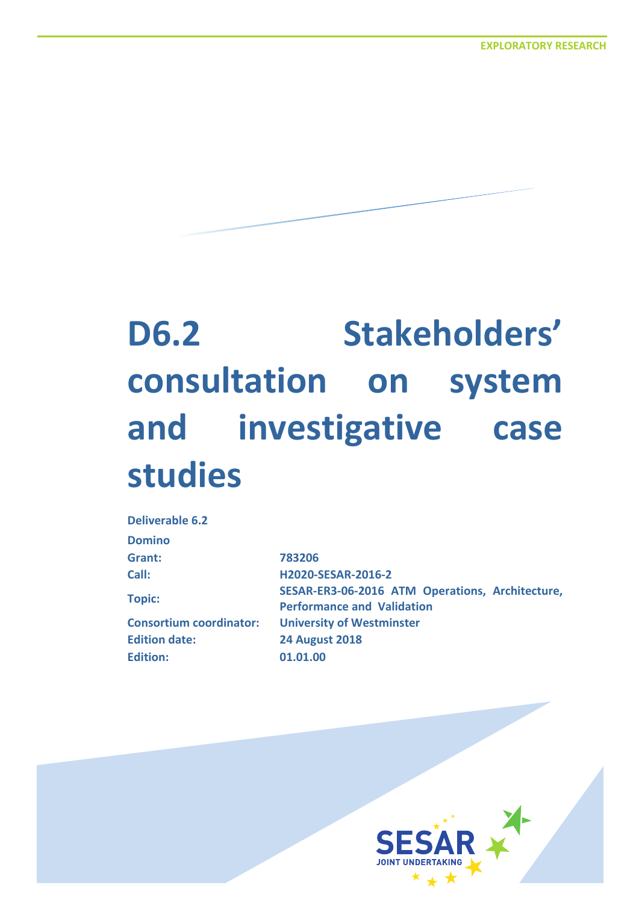# **D6.2 Stakeholders' consultation on system and investigative case studies**

| <b>Deliverable 6.2</b>         |                                                 |
|--------------------------------|-------------------------------------------------|
| <b>Domino</b>                  |                                                 |
| Grant:                         | 783206                                          |
| Call:                          | H2020-SESAR-2016-2                              |
| <b>Topic:</b>                  | SESAR-ER3-06-2016 ATM Operations, Architecture, |
|                                | <b>Performance and Validation</b>               |
| <b>Consortium coordinator:</b> | <b>University of Westminster</b>                |
| <b>Edition date:</b>           | <b>24 August 2018</b>                           |
| <b>Edition:</b>                | 01.01.00                                        |
|                                |                                                 |

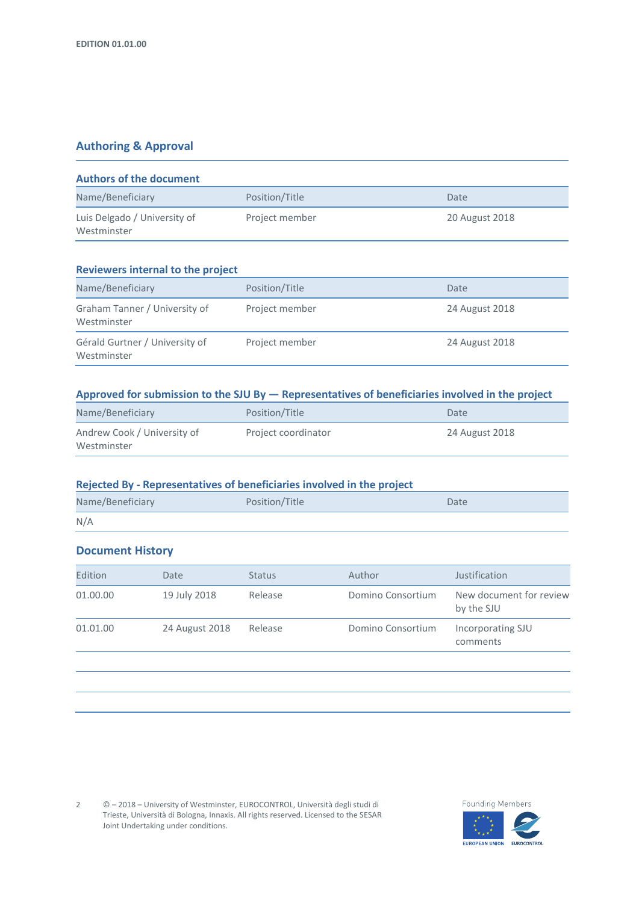#### **Authoring & Approval**

| <b>Authors of the document</b>              |                |                |  |
|---------------------------------------------|----------------|----------------|--|
| Name/Beneficiary                            | Position/Title | Date           |  |
| Luis Delgado / University of<br>Westminster | Project member | 20 August 2018 |  |

#### **Reviewers internal to the project**

| Name/Beneficiary                              | Position/Title | Date           |  |
|-----------------------------------------------|----------------|----------------|--|
| Graham Tanner / University of<br>Westminster  | Project member | 24 August 2018 |  |
| Gérald Gurtner / University of<br>Westminster | Project member | 24 August 2018 |  |

#### **Approved for submission to the SJU By — Representatives of beneficiaries involved in the project**

| Name/Beneficiary            | Position/Title      | Date           |  |
|-----------------------------|---------------------|----------------|--|
| Andrew Cook / University of | Project coordinator | 24 August 2018 |  |
| Westminster                 |                     |                |  |

#### **Rejected By - Representatives of beneficiaries involved in the project**

| Name/Beneficiary | Position/Title | Date |
|------------------|----------------|------|
| N/A              |                |      |

#### **Document History**

| Edition  | Date           | <b>Status</b> | Author            | Justification                         |
|----------|----------------|---------------|-------------------|---------------------------------------|
| 01.00.00 | 19 July 2018   | Release       | Domino Consortium | New document for review<br>by the SJU |
| 01.01.00 | 24 August 2018 | Release       | Domino Consortium | Incorporating SJU<br>comments         |
|          |                |               |                   |                                       |

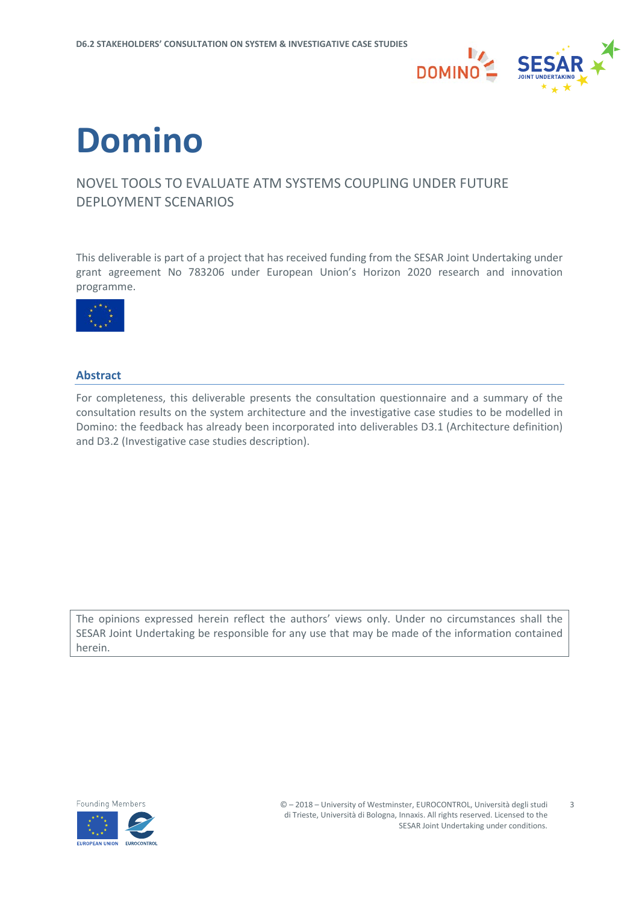

# **Domino**

### NOVEL TOOLS TO EVALUATE ATM SYSTEMS COUPLING UNDER FUTURE DEPLOYMENT SCENARIOS

This deliverable is part of a project that has received funding from the SESAR Joint Undertaking under grant agreement No 783206 under European Union's Horizon 2020 research and innovation programme.



#### <span id="page-2-0"></span>**Abstract**

For completeness, this deliverable presents the consultation questionnaire and a summary of the consultation results on the system architecture and the investigative case studies to be modelled in Domino: the feedback has already been incorporated into deliverables D3.1 (Architecture definition) and D3.2 (Investigative case studies description).

The opinions expressed herein reflect the authors' views only. Under no circumstances shall the SESAR Joint Undertaking be responsible for any use that may be made of the information contained herein.

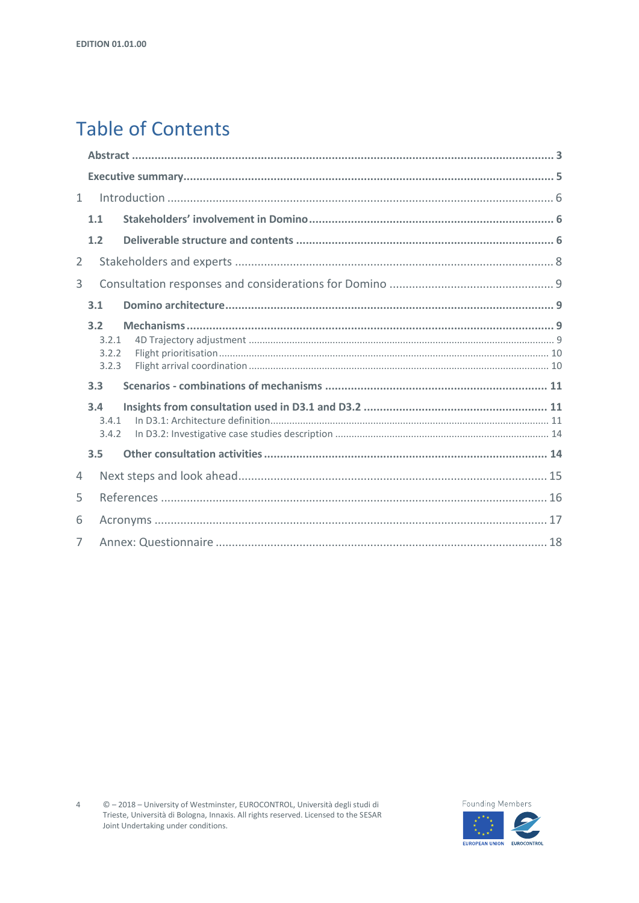## **Table of Contents**

| $\mathbf{1}$ |     |       |  |  |  |
|--------------|-----|-------|--|--|--|
|              | 1.1 |       |  |  |  |
|              | 1.2 |       |  |  |  |
| 2            |     |       |  |  |  |
| 3            |     |       |  |  |  |
|              | 3.1 |       |  |  |  |
|              | 3.2 |       |  |  |  |
|              |     | 3.2.1 |  |  |  |
|              |     | 3.2.2 |  |  |  |
|              |     | 3.2.3 |  |  |  |
|              | 3.3 |       |  |  |  |
|              | 3.4 |       |  |  |  |
|              |     | 3.4.1 |  |  |  |
|              |     | 3.4.2 |  |  |  |
|              | 3.5 |       |  |  |  |
| 4            |     |       |  |  |  |
| 5            |     |       |  |  |  |
| 6            |     |       |  |  |  |
| 7            |     |       |  |  |  |

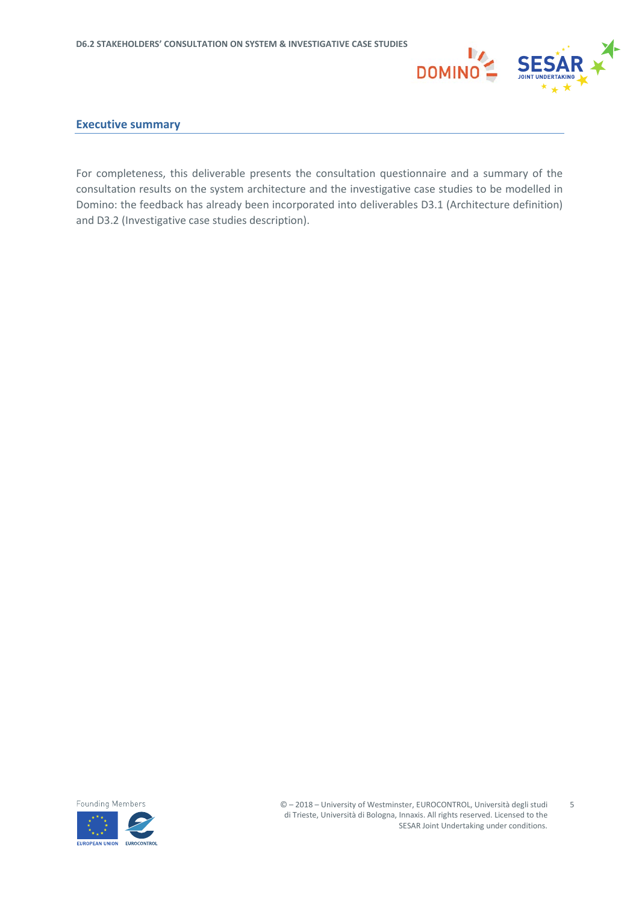

#### <span id="page-4-0"></span>**Executive summary**

For completeness, this deliverable presents the consultation questionnaire and a summary of the consultation results on the system architecture and the investigative case studies to be modelled in Domino: the feedback has already been incorporated into deliverables D3.1 (Architecture definition) and D3.2 (Investigative case studies description).



5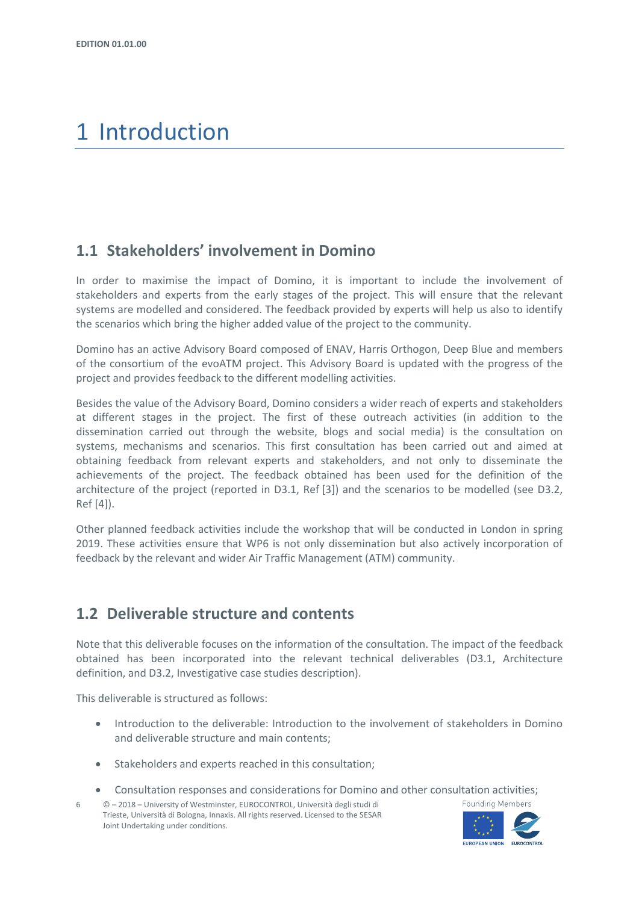## <span id="page-5-0"></span>1 Introduction

### <span id="page-5-1"></span>**1.1 Stakeholders' involvement in Domino**

In order to maximise the impact of Domino, it is important to include the involvement of stakeholders and experts from the early stages of the project. This will ensure that the relevant systems are modelled and considered. The feedback provided by experts will help us also to identify the scenarios which bring the higher added value of the project to the community.

Domino has an active Advisory Board composed of ENAV, Harris Orthogon, Deep Blue and members of the consortium of the evoATM project. This Advisory Board is updated with the progress of the project and provides feedback to the different modelling activities.

Besides the value of the Advisory Board, Domino considers a wider reach of experts and stakeholders at different stages in the project. The first of these outreach activities (in addition to the dissemination carried out through the website, blogs and social media) is the consultation on systems, mechanisms and scenarios. This first consultation has been carried out and aimed at obtaining feedback from relevant experts and stakeholders, and not only to disseminate the achievements of the project. The feedback obtained has been used for the definition of the architecture of the project (reported in D3.1, Ref [3]) and the scenarios to be modelled (see D3.2, Ref [4]).

Other planned feedback activities include the workshop that will be conducted in London in spring 2019. These activities ensure that WP6 is not only dissemination but also actively incorporation of feedback by the relevant and wider Air Traffic Management (ATM) community.

## <span id="page-5-2"></span>**1.2 Deliverable structure and contents**

Note that this deliverable focuses on the information of the consultation. The impact of the feedback obtained has been incorporated into the relevant technical deliverables (D3.1, Architecture definition, and D3.2, Investigative case studies description).

This deliverable is structured as follows:

- Introduction to the deliverable: Introduction to the involvement of stakeholders in Domino and deliverable structure and main contents;
- Stakeholders and experts reached in this consultation;
- Consultation responses and considerations for Domino and other consultation activities;
- 6 © 2018 University of Westminster, EUROCONTROL, Università degli studi di Trieste, Università di Bologna, Innaxis. All rights reserved. Licensed to the SESAR Joint Undertaking under conditions.

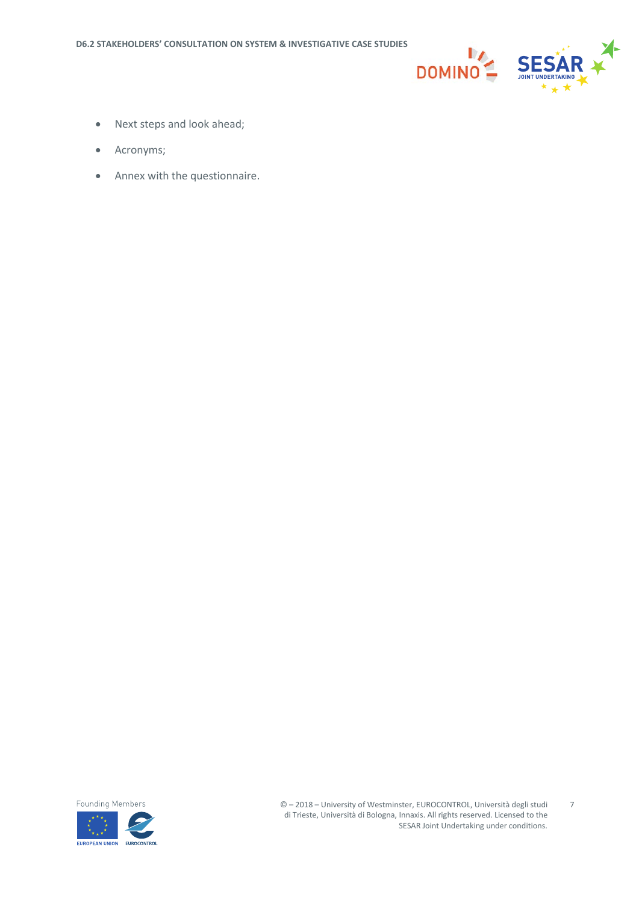

- Next steps and look ahead;
- Acronyms;
- Annex with the questionnaire.



7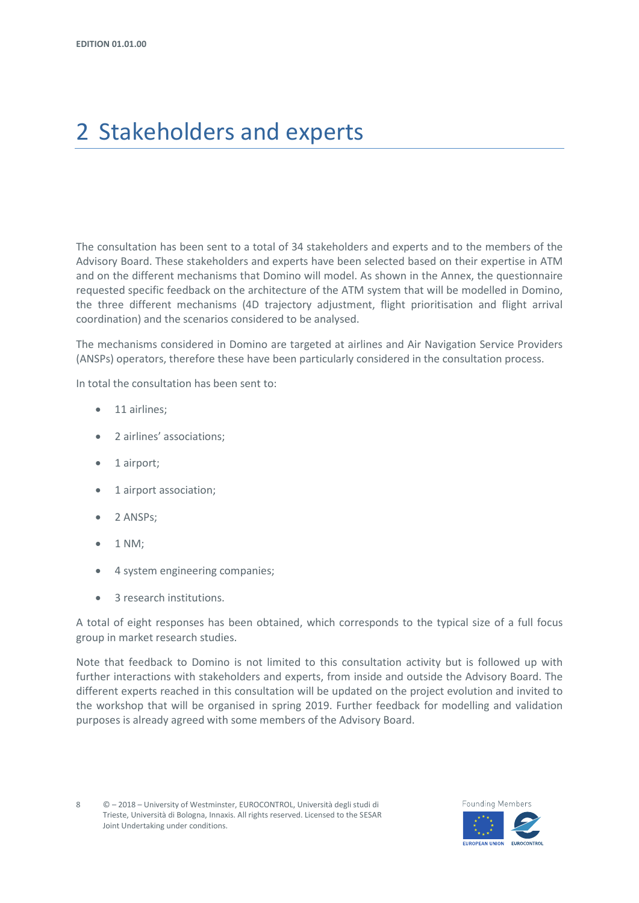## <span id="page-7-0"></span>2 Stakeholders and experts

The consultation has been sent to a total of 34 stakeholders and experts and to the members of the Advisory Board. These stakeholders and experts have been selected based on their expertise in ATM and on the different mechanisms that Domino will model. As shown in the Annex, the questionnaire requested specific feedback on the architecture of the ATM system that will be modelled in Domino, the three different mechanisms (4D trajectory adjustment, flight prioritisation and flight arrival coordination) and the scenarios considered to be analysed.

The mechanisms considered in Domino are targeted at airlines and Air Navigation Service Providers (ANSPs) operators, therefore these have been particularly considered in the consultation process.

In total the consultation has been sent to:

- 11 airlines;
- 2 airlines' associations;
- 1 airport;
- 1 airport association;
- 2 ANSPs;
- 1 NM;
- 4 system engineering companies;
- 3 research institutions.

A total of eight responses has been obtained, which corresponds to the typical size of a full focus group in market research studies.

Note that feedback to Domino is not limited to this consultation activity but is followed up with further interactions with stakeholders and experts, from inside and outside the Advisory Board. The different experts reached in this consultation will be updated on the project evolution and invited to the workshop that will be organised in spring 2019. Further feedback for modelling and validation purposes is already agreed with some members of the Advisory Board.

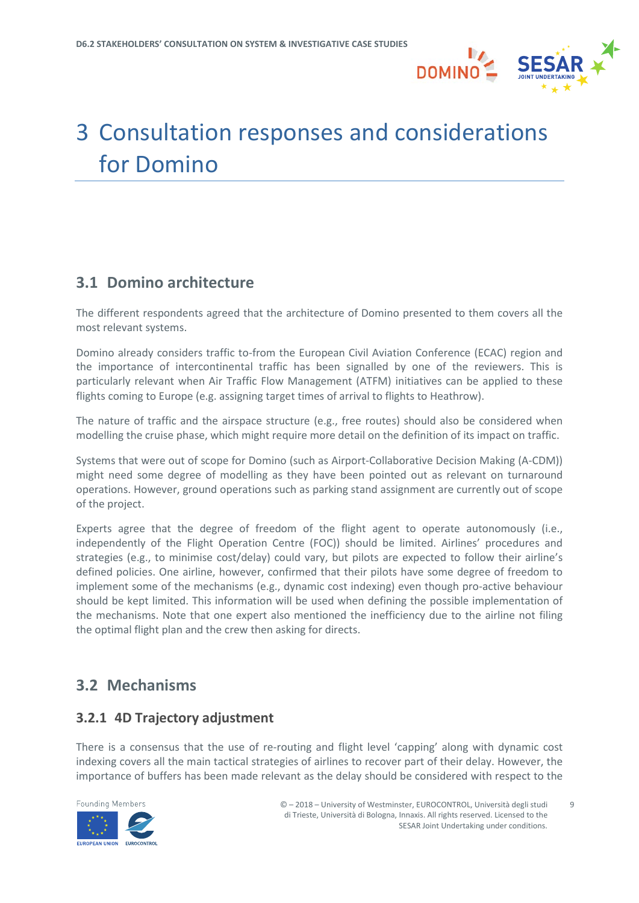

## <span id="page-8-0"></span>3 Consultation responses and considerations for Domino

## <span id="page-8-1"></span>**3.1 Domino architecture**

The different respondents agreed that the architecture of Domino presented to them covers all the most relevant systems.

Domino already considers traffic to-from the European Civil Aviation Conference (ECAC) region and the importance of intercontinental traffic has been signalled by one of the reviewers. This is particularly relevant when Air Traffic Flow Management (ATFM) initiatives can be applied to these flights coming to Europe (e.g. assigning target times of arrival to flights to Heathrow).

The nature of traffic and the airspace structure (e.g., free routes) should also be considered when modelling the cruise phase, which might require more detail on the definition of its impact on traffic.

Systems that were out of scope for Domino (such as Airport-Collaborative Decision Making (A-CDM)) might need some degree of modelling as they have been pointed out as relevant on turnaround operations. However, ground operations such as parking stand assignment are currently out of scope of the project.

Experts agree that the degree of freedom of the flight agent to operate autonomously (i.e., independently of the Flight Operation Centre (FOC)) should be limited. Airlines' procedures and strategies (e.g., to minimise cost/delay) could vary, but pilots are expected to follow their airline's defined policies. One airline, however, confirmed that their pilots have some degree of freedom to implement some of the mechanisms (e.g., dynamic cost indexing) even though pro-active behaviour should be kept limited. This information will be used when defining the possible implementation of the mechanisms. Note that one expert also mentioned the inefficiency due to the airline not filing the optimal flight plan and the crew then asking for directs.

## <span id="page-8-2"></span>**3.2 Mechanisms**

### <span id="page-8-3"></span>**3.2.1 4D Trajectory adjustment**

There is a consensus that the use of re-routing and flight level 'capping' along with dynamic cost indexing covers all the main tactical strategies of airlines to recover part of their delay. However, the importance of buffers has been made relevant as the delay should be considered with respect to the

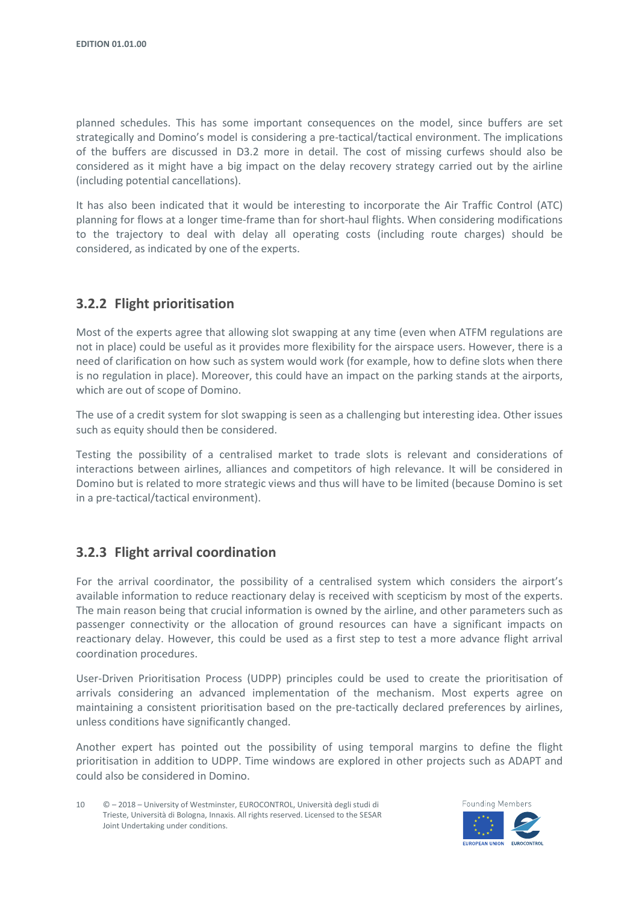planned schedules. This has some important consequences on the model, since buffers are set strategically and Domino's model is considering a pre-tactical/tactical environment. The implications of the buffers are discussed in D3.2 more in detail. The cost of missing curfews should also be considered as it might have a big impact on the delay recovery strategy carried out by the airline (including potential cancellations).

It has also been indicated that it would be interesting to incorporate the Air Traffic Control (ATC) planning for flows at a longer time-frame than for short-haul flights. When considering modifications to the trajectory to deal with delay all operating costs (including route charges) should be considered, as indicated by one of the experts.

### <span id="page-9-0"></span>**3.2.2 Flight prioritisation**

Most of the experts agree that allowing slot swapping at any time (even when ATFM regulations are not in place) could be useful as it provides more flexibility for the airspace users. However, there is a need of clarification on how such as system would work (for example, how to define slots when there is no regulation in place). Moreover, this could have an impact on the parking stands at the airports, which are out of scope of Domino.

The use of a credit system for slot swapping is seen as a challenging but interesting idea. Other issues such as equity should then be considered.

Testing the possibility of a centralised market to trade slots is relevant and considerations of interactions between airlines, alliances and competitors of high relevance. It will be considered in Domino but is related to more strategic views and thus will have to be limited (because Domino is set in a pre-tactical/tactical environment).

### <span id="page-9-1"></span>**3.2.3 Flight arrival coordination**

For the arrival coordinator, the possibility of a centralised system which considers the airport's available information to reduce reactionary delay is received with scepticism by most of the experts. The main reason being that crucial information is owned by the airline, and other parameters such as passenger connectivity or the allocation of ground resources can have a significant impacts on reactionary delay. However, this could be used as a first step to test a more advance flight arrival coordination procedures.

User-Driven Prioritisation Process (UDPP) principles could be used to create the prioritisation of arrivals considering an advanced implementation of the mechanism. Most experts agree on maintaining a consistent prioritisation based on the pre-tactically declared preferences by airlines, unless conditions have significantly changed.

Another expert has pointed out the possibility of using temporal margins to define the flight prioritisation in addition to UDPP. Time windows are explored in other projects such as ADAPT and could also be considered in Domino.



<sup>10</sup> © – 2018 – University of Westminster, EUROCONTROL, Università degli studi di Trieste, Università di Bologna, Innaxis. All rights reserved. Licensed to the SESAR Joint Undertaking under conditions.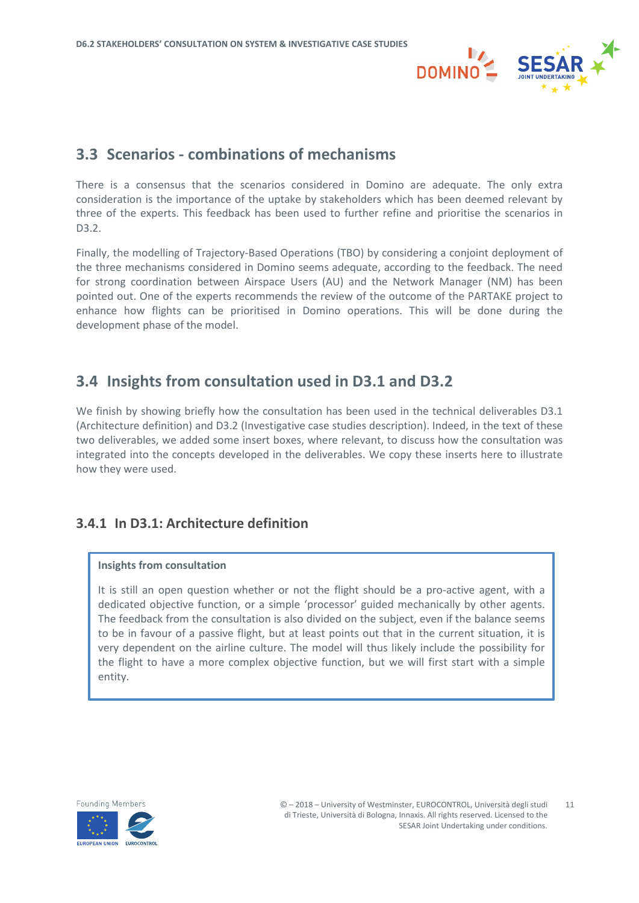

### <span id="page-10-0"></span>**3.3 Scenarios - combinations of mechanisms**

There is a consensus that the scenarios considered in Domino are adequate. The only extra consideration is the importance of the uptake by stakeholders which has been deemed relevant by three of the experts. This feedback has been used to further refine and prioritise the scenarios in D3.2.

Finally, the modelling of Trajectory-Based Operations (TBO) by considering a conjoint deployment of the three mechanisms considered in Domino seems adequate, according to the feedback. The need for strong coordination between Airspace Users (AU) and the Network Manager (NM) has been pointed out. One of the experts recommends the review of the outcome of the PARTAKE project to enhance how flights can be prioritised in Domino operations. This will be done during the development phase of the model.

## <span id="page-10-1"></span>**3.4 Insights from consultation used in D3.1 and D3.2**

We finish by showing briefly how the consultation has been used in the technical deliverables D3.1 (Architecture definition) and D3.2 (Investigative case studies description). Indeed, in the text of these two deliverables, we added some insert boxes, where relevant, to discuss how the consultation was integrated into the concepts developed in the deliverables. We copy these inserts here to illustrate how they were used.

### <span id="page-10-2"></span>**3.4.1 In D3.1: Architecture definition**

#### **Insights from consultation**

It is still an open question whether or not the flight should be a pro-active agent, with a dedicated objective function, or a simple 'processor' guided mechanically by other agents. The feedback from the consultation is also divided on the subject, even if the balance seems to be in favour of a passive flight, but at least points out that in the current situation, it is very dependent on the airline culture. The model will thus likely include the possibility for the flight to have a more complex objective function, but we will first start with a simple entity.

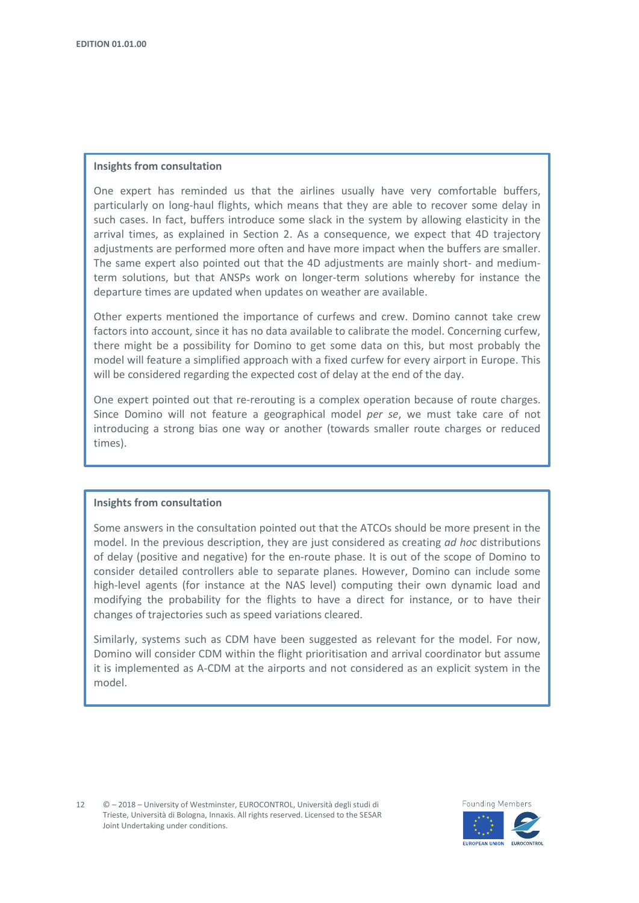#### **Insights from consultation**

One expert has reminded us that the airlines usually have very comfortable buffers, particularly on long-haul flights, which means that they are able to recover some delay in such cases. In fact, buffers introduce some slack in the system by allowing elasticity in the arrival times, as explained in Section 2. As a consequence, we expect that 4D trajectory adjustments are performed more often and have more impact when the buffers are smaller. The same expert also pointed out that the 4D adjustments are mainly short- and mediumterm solutions, but that ANSPs work on longer-term solutions whereby for instance the departure times are updated when updates on weather are available.

Other experts mentioned the importance of curfews and crew. Domino cannot take crew factors into account, since it has no data available to calibrate the model. Concerning curfew, there might be a possibility for Domino to get some data on this, but most probably the model will feature a simplified approach with a fixed curfew for every airport in Europe. This will be considered regarding the expected cost of delay at the end of the day.

One expert pointed out that re-rerouting is a complex operation because of route charges. Since Domino will not feature a geographical model *per se*, we must take care of not introducing a strong bias one way or another (towards smaller route charges or reduced times).

#### **Insights from consultation**

Some answers in the consultation pointed out that the ATCOs should be more present in the model. In the previous description, they are just considered as creating *ad hoc* distributions of delay (positive and negative) for the en-route phase. It is out of the scope of Domino to consider detailed controllers able to separate planes. However, Domino can include some high-level agents (for instance at the NAS level) computing their own dynamic load and modifying the probability for the flights to have a direct for instance, or to have their changes of trajectories such as speed variations cleared.

Similarly, systems such as CDM have been suggested as relevant for the model. For now, Domino will consider CDM within the flight prioritisation and arrival coordinator but assume it is implemented as A-CDM at the airports and not considered as an explicit system in the model.

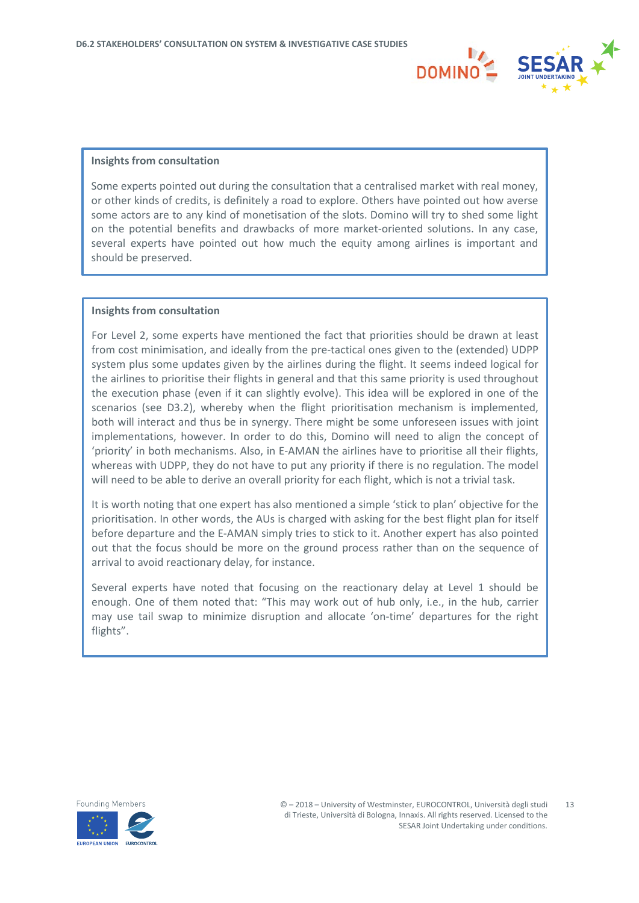

#### **Insights from consultation**

Some experts pointed out during the consultation that a centralised market with real money, or other kinds of credits, is definitely a road to explore. Others have pointed out how averse some actors are to any kind of monetisation of the slots. Domino will try to shed some light on the potential benefits and drawbacks of more market-oriented solutions. In any case, several experts have pointed out how much the equity among airlines is important and should be preserved.

#### **Insights from consultation**

For Level 2, some experts have mentioned the fact that priorities should be drawn at least from cost minimisation, and ideally from the pre-tactical ones given to the (extended) UDPP system plus some updates given by the airlines during the flight. It seems indeed logical for the airlines to prioritise their flights in general and that this same priority is used throughout the execution phase (even if it can slightly evolve). This idea will be explored in one of the scenarios (see D3.2), whereby when the flight prioritisation mechanism is implemented, both will interact and thus be in synergy. There might be some unforeseen issues with joint implementations, however. In order to do this, Domino will need to align the concept of 'priority' in both mechanisms. Also, in E-AMAN the airlines have to prioritise all their flights, whereas with UDPP, they do not have to put any priority if there is no regulation. The model will need to be able to derive an overall priority for each flight, which is not a trivial task.

It is worth noting that one expert has also mentioned a simple 'stick to plan' objective for the prioritisation. In other words, the AUs is charged with asking for the best flight plan for itself before departure and the E-AMAN simply tries to stick to it. Another expert has also pointed out that the focus should be more on the ground process rather than on the sequence of arrival to avoid reactionary delay, for instance.

Several experts have noted that focusing on the reactionary delay at Level 1 should be enough. One of them noted that: "This may work out of hub only, i.e., in the hub, carrier may use tail swap to minimize disruption and allocate 'on-time' departures for the right flights".

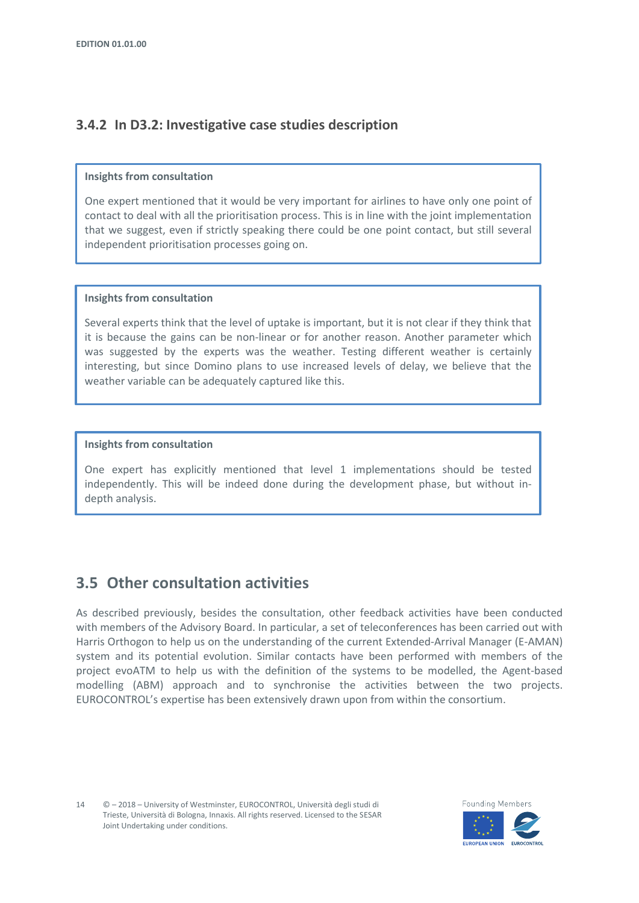### <span id="page-13-0"></span>**3.4.2 In D3.2: Investigative case studies description**

#### **Insights from consultation**

One expert mentioned that it would be very important for airlines to have only one point of contact to deal with all the prioritisation process. This is in line with the joint implementation that we suggest, even if strictly speaking there could be one point contact, but still several independent prioritisation processes going on.

#### **Insights from consultation**

Several experts think that the level of uptake is important, but it is not clear if they think that it is because the gains can be non-linear or for another reason. Another parameter which was suggested by the experts was the weather. Testing different weather is certainly interesting, but since Domino plans to use increased levels of delay, we believe that the weather variable can be adequately captured like this.

#### **Insights from consultation**

One expert has explicitly mentioned that level 1 implementations should be tested independently. This will be indeed done during the development phase, but without indepth analysis.

## <span id="page-13-1"></span>**3.5 Other consultation activities**

As described previously, besides the consultation, other feedback activities have been conducted with members of the Advisory Board. In particular, a set of teleconferences has been carried out with Harris Orthogon to help us on the understanding of the current Extended-Arrival Manager (E-AMAN) system and its potential evolution. Similar contacts have been performed with members of the project evoATM to help us with the definition of the systems to be modelled, the Agent-based modelling (ABM) approach and to synchronise the activities between the two projects. EUROCONTROL's expertise has been extensively drawn upon from within the consortium.

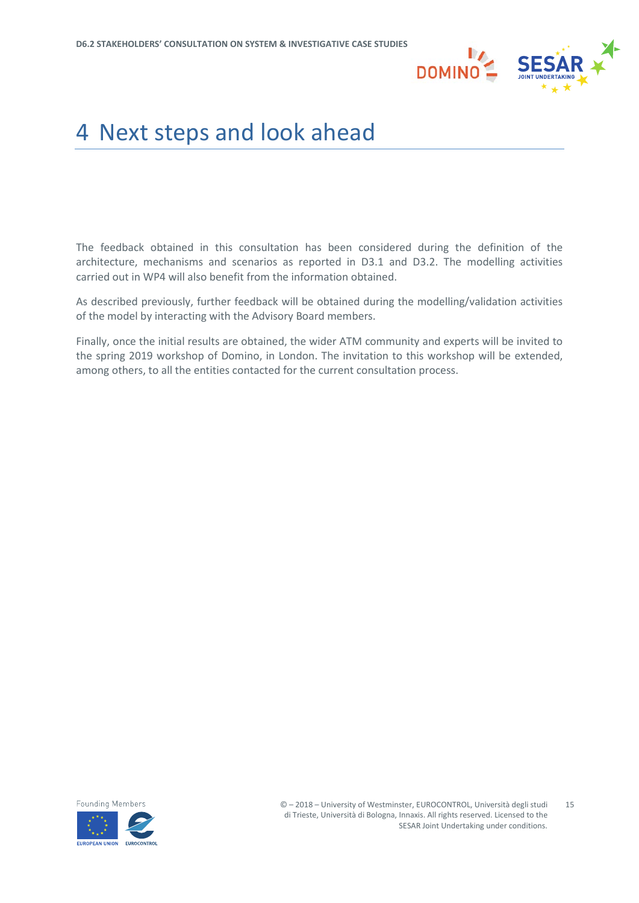

## <span id="page-14-0"></span>4 Next steps and look ahead

The feedback obtained in this consultation has been considered during the definition of the architecture, mechanisms and scenarios as reported in D3.1 and D3.2. The modelling activities carried out in WP4 will also benefit from the information obtained.

As described previously, further feedback will be obtained during the modelling/validation activities of the model by interacting with the Advisory Board members.

Finally, once the initial results are obtained, the wider ATM community and experts will be invited to the spring 2019 workshop of Domino, in London. The invitation to this workshop will be extended, among others, to all the entities contacted for the current consultation process.

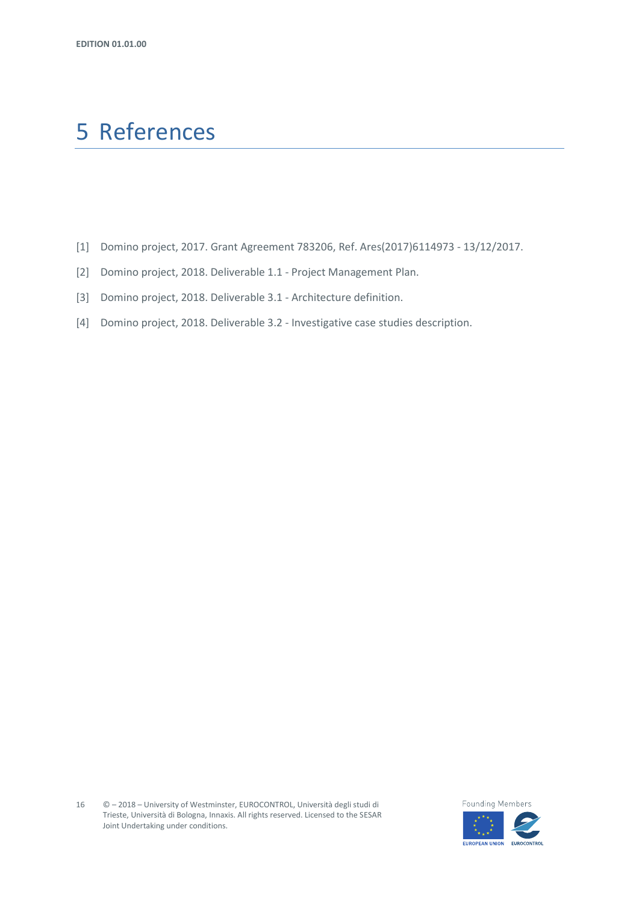## <span id="page-15-0"></span>5 References

- [1] Domino project, 2017. Grant Agreement 783206, Ref. Ares(2017)6114973 13/12/2017.
- [2] Domino project, 2018. Deliverable 1.1 Project Management Plan.
- [3] Domino project, 2018. Deliverable 3.1 Architecture definition.
- [4] Domino project, 2018. Deliverable 3.2 Investigative case studies description.

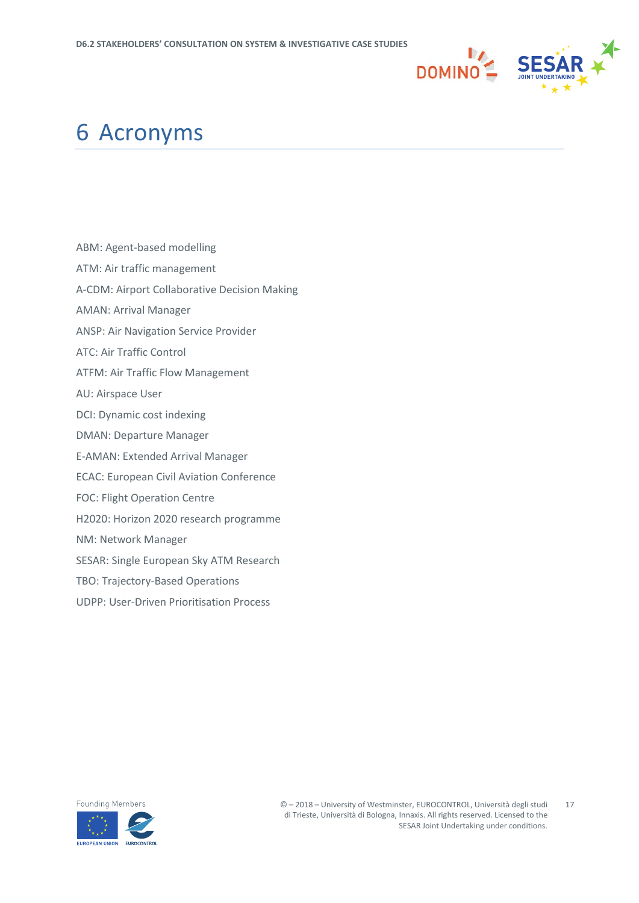

## <span id="page-16-0"></span>6 Acronyms

- ABM: Agent-based modelling
- ATM: Air traffic management
- A-CDM: Airport Collaborative Decision Making
- AMAN: Arrival Manager
- ANSP: Air Navigation Service Provider
- ATC: Air Traffic Control
- ATFM: Air Traffic Flow Management
- AU: Airspace User
- DCI: Dynamic cost indexing
- DMAN: Departure Manager
- E-AMAN: Extended Arrival Manager
- ECAC: European Civil Aviation Conference
- FOC: Flight Operation Centre
- H2020: Horizon 2020 research programme
- NM: Network Manager
- SESAR: Single European Sky ATM Research
- TBO: Trajectory-Based Operations
- UDPP: User-Driven Prioritisation Process

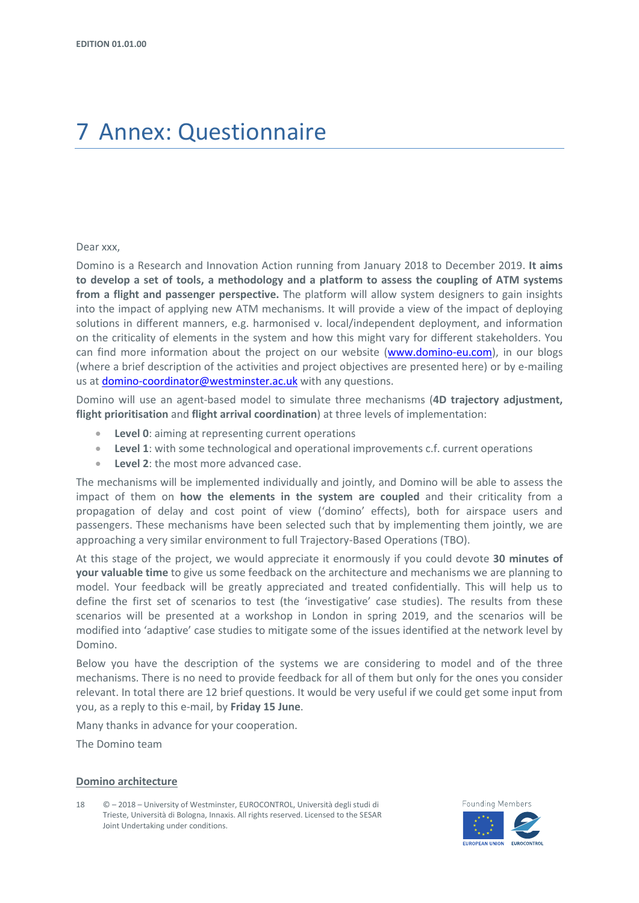## <span id="page-17-0"></span>7 Annex: Questionnaire

#### Dear xxx,

Domino is a Research and Innovation Action running from January 2018 to December 2019. **It aims to develop a set of tools, a methodology and a platform to assess the coupling of ATM systems from a flight and passenger perspective.** The platform will allow system designers to gain insights into the impact of applying new ATM mechanisms. It will provide a view of the impact of deploying solutions in different manners, e.g. harmonised v. local/independent deployment, and information on the criticality of elements in the system and how this might vary for different stakeholders. You can find more information about the project on our website [\(www.domino-eu.com\)](http://www.domino-eu.com/), in our blogs (where a brief description of the activities and project objectives are presented here) or by e-mailing us at [domino-coordinator@westminster.ac.uk](mailto:domino-coordinator@westminster.ac.uk) with any questions.

Domino will use an agent-based model to simulate three mechanisms (**4D trajectory adjustment, flight prioritisation** and **flight arrival coordination**) at three levels of implementation:

- **Level 0**: aiming at representing current operations
- **Level 1**: with some technological and operational improvements c.f. current operations
- **Level 2**: the most more advanced case.

The mechanisms will be implemented individually and jointly, and Domino will be able to assess the impact of them on **how the elements in the system are coupled** and their criticality from a propagation of delay and cost point of view ('domino' effects), both for airspace users and passengers. These mechanisms have been selected such that by implementing them jointly, we are approaching a very similar environment to full Trajectory-Based Operations (TBO).

At this stage of the project, we would appreciate it enormously if you could devote **30 minutes of your valuable time** to give us some feedback on the architecture and mechanisms we are planning to model. Your feedback will be greatly appreciated and treated confidentially. This will help us to define the first set of scenarios to test (the 'investigative' case studies). The results from these scenarios will be presented at a workshop in London in spring 2019, and the scenarios will be modified into 'adaptive' case studies to mitigate some of the issues identified at the network level by Domino.

Below you have the description of the systems we are considering to model and of the three mechanisms. There is no need to provide feedback for all of them but only for the ones you consider relevant. In total there are 12 brief questions. It would be very useful if we could get some input from you, as a reply to this e-mail, by **Friday 15 June**.

Many thanks in advance for your cooperation.

The Domino team

#### **Domino architecture**



<sup>18</sup> © – 2018 – University of Westminster, EUROCONTROL, Università degli studi di Trieste, Università di Bologna, Innaxis. All rights reserved. Licensed to the SESAR Joint Undertaking under conditions.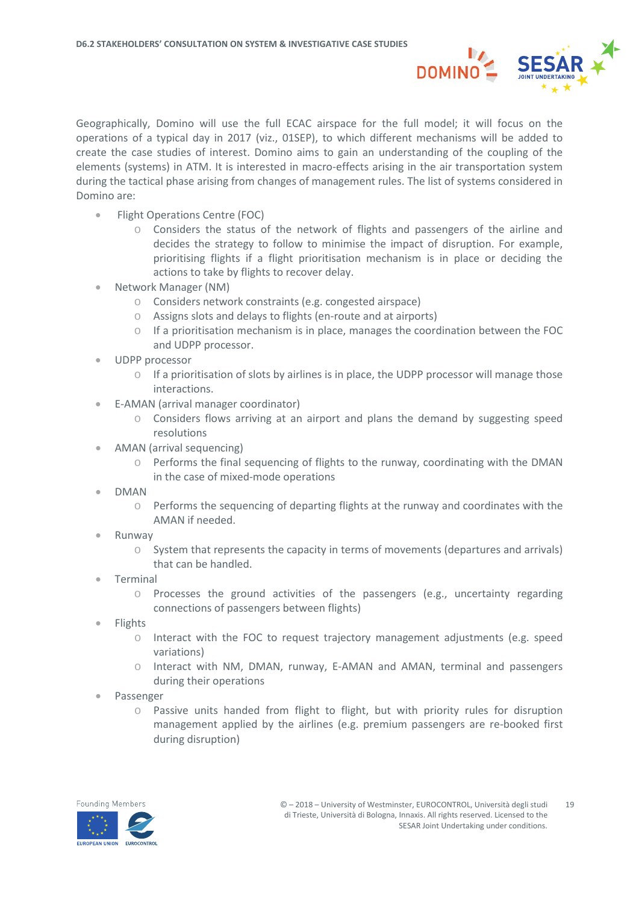

Geographically, Domino will use the full ECAC airspace for the full model; it will focus on the operations of a typical day in 2017 (viz., 01SEP), to which different mechanisms will be added to create the case studies of interest. Domino aims to gain an understanding of the coupling of the elements (systems) in ATM. It is interested in macro-effects arising in the air transportation system during the tactical phase arising from changes of management rules. The list of systems considered in Domino are:

- Flight Operations Centre (FOC)
	- $\circ$  Considers the status of the network of flights and passengers of the airline and decides the strategy to follow to minimise the impact of disruption. For example, prioritising flights if a flight prioritisation mechanism is in place or deciding the actions to take by flights to recover delay.
- Network Manager (NM)
	- o Considers network constraints (e.g. congested airspace)
	- o Assigns slots and delays to flights (en-route and at airports)
	- $\circ$  If a prioritisation mechanism is in place, manages the coordination between the FOC and UDPP processor.
- UDPP processor
	- $\circ$  If a prioritisation of slots by airlines is in place, the UDPP processor will manage those interactions.
- E-AMAN (arrival manager coordinator)
	- Considers flows arriving at an airport and plans the demand by suggesting speed resolutions
- AMAN (arrival sequencing)
	- o Performs the final sequencing of flights to the runway, coordinating with the DMAN in the case of mixed-mode operations
- DMAN
	- $\circ$  Performs the sequencing of departing flights at the runway and coordinates with the AMAN if needed.
- Runway
	- $\circ$  System that represents the capacity in terms of movements (departures and arrivals) that can be handled.
- **Terminal** 
	- o Processes the ground activities of the passengers (e.g., uncertainty regarding connections of passengers between flights)
- Flights
	- o Interact with the FOC to request trajectory management adjustments (e.g. speed variations)
	- o Interact with NM, DMAN, runway, E-AMAN and AMAN, terminal and passengers during their operations
- Passenger
	- $\circ$  Passive units handed from flight to flight, but with priority rules for disruption management applied by the airlines (e.g. premium passengers are re-booked first during disruption)

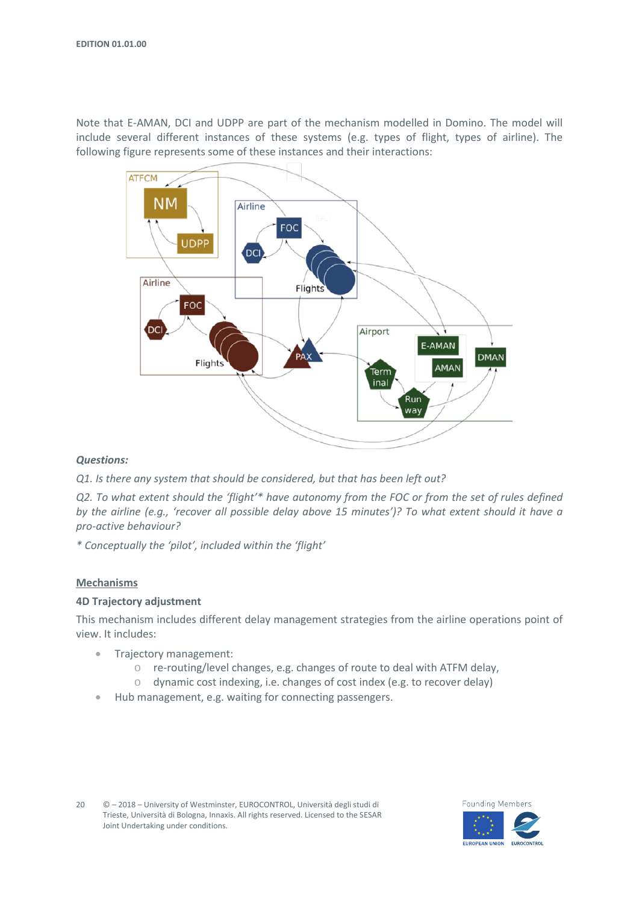Note that E-AMAN, DCI and UDPP are part of the mechanism modelled in Domino. The model will include several different instances of these systems (e.g. types of flight, types of airline). The following figure represents some of these instances and their interactions:



#### *Questions:*

*Q1. Is there any system that should be considered, but that has been left out?*

*Q2. To what extent should the 'flight'\* have autonomy from the FOC or from the set of rules defined by the airline (e.g., 'recover all possible delay above 15 minutes')? To what extent should it have a pro-active behaviour?*

*\* Conceptually the 'pilot', included within the 'flight'*

#### **Mechanisms**

#### **4D Trajectory adjustment**

This mechanism includes different delay management strategies from the airline operations point of view. It includes:

- Trajectory management:
	- o re-routing/level changes, e.g. changes of route to deal with ATFM delay,
	- o dynamic cost indexing, i.e. changes of cost index (e.g. to recover delay)
- Hub management, e.g. waiting for connecting passengers.

20 © – 2018 – University of Westminster, EUROCONTROL, Università degli studi di Trieste, Università di Bologna, Innaxis. All rights reserved. Licensed to the SESAR Joint Undertaking under conditions.



**FUROPEAN UNION** 

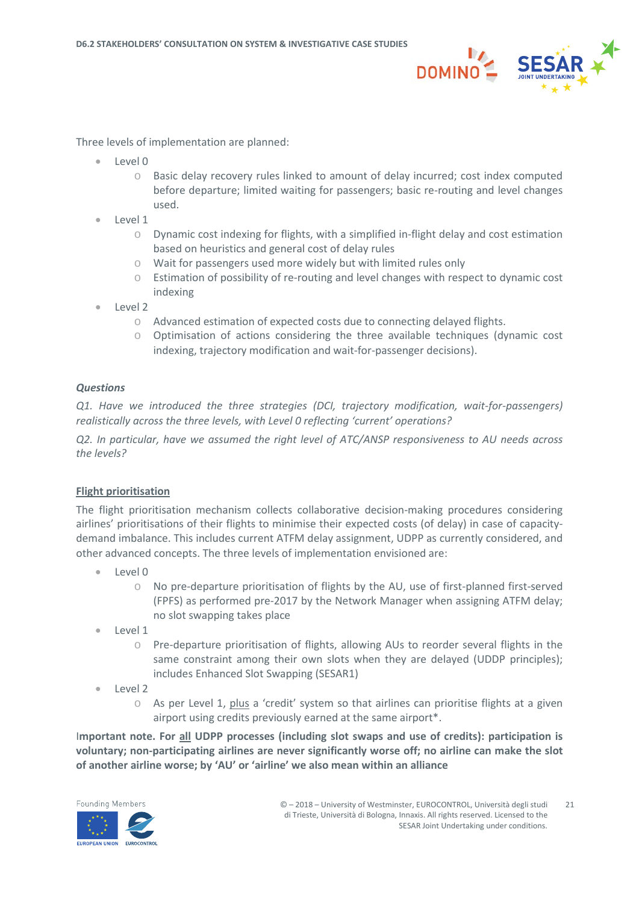

Three levels of implementation are planned:

- Level 0
	- o Basic delay recovery rules linked to amount of delay incurred; cost index computed before departure; limited waiting for passengers; basic re-routing and level changes used.
- Level 1
	- $\circ$  Dynamic cost indexing for flights, with a simplified in-flight delay and cost estimation based on heuristics and general cost of delay rules
	- o Wait for passengers used more widely but with limited rules only
	- o Estimation of possibility of re-routing and level changes with respect to dynamic cost indexing
- Level 2
	- o Advanced estimation of expected costs due to connecting delayed flights.
	- $\circ$  Optimisation of actions considering the three available techniques (dynamic cost indexing, trajectory modification and wait-for-passenger decisions).

#### *Questions*

*Q1. Have we introduced the three strategies (DCI, trajectory modification, wait-for-passengers) realistically across the three levels, with Level 0 reflecting 'current' operations?*

*Q2. In particular, have we assumed the right level of ATC/ANSP responsiveness to AU needs across the levels?*

#### **Flight prioritisation**

The flight prioritisation mechanism collects collaborative decision-making procedures considering airlines' prioritisations of their flights to minimise their expected costs (of delay) in case of capacitydemand imbalance. This includes current ATFM delay assignment, UDPP as currently considered, and other advanced concepts. The three levels of implementation envisioned are:

- Level 0
	- o No pre-departure prioritisation of flights by the AU, use of first-planned first-served (FPFS) as performed pre-2017 by the Network Manager when assigning ATFM delay; no slot swapping takes place
- Level 1
	- o Pre-departure prioritisation of flights, allowing AUs to reorder several flights in the same constraint among their own slots when they are delayed (UDDP principles); includes Enhanced Slot Swapping (SESAR1)
- Level 2
	- $\circ$  As per Level 1, plus a 'credit' system so that airlines can prioritise flights at a given airport using credits previously earned at the same airport\*.

I**mportant note. For all UDPP processes (including slot swaps and use of credits): participation is voluntary; non-participating airlines are never significantly worse off; no airline can make the slot of another airline worse; by 'AU' or 'airline' we also mean within an alliance**

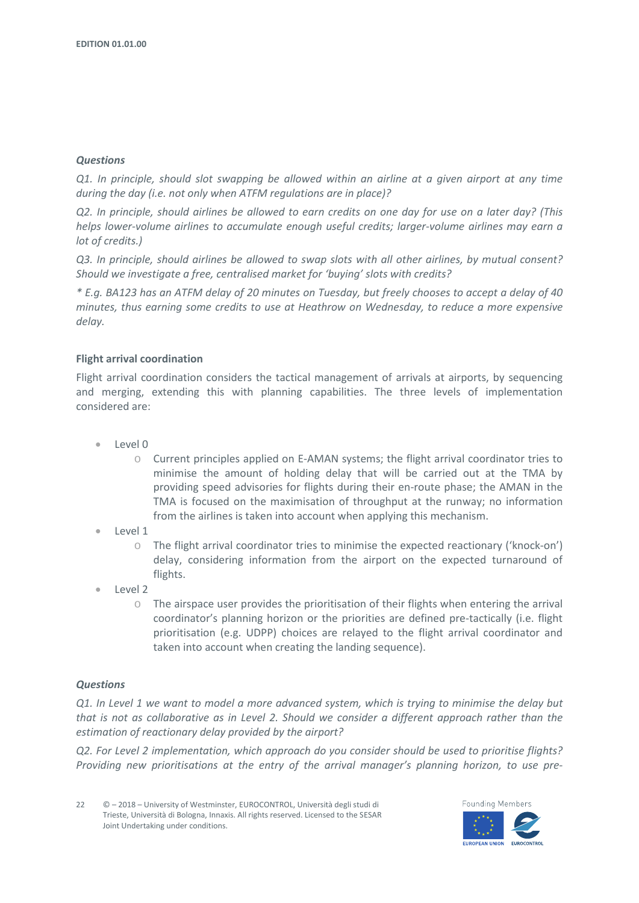#### *Questions*

*Q1. In principle, should slot swapping be allowed within an airline at a given airport at any time during the day (i.e. not only when ATFM regulations are in place)?*

*Q2. In principle, should airlines be allowed to earn credits on one day for use on a later day? (This helps lower-volume airlines to accumulate enough useful credits; larger-volume airlines may earn a lot of credits.)*

*Q3. In principle, should airlines be allowed to swap slots with all other airlines, by mutual consent? Should we investigate a free, centralised market for 'buying' slots with credits?*

*\* E.g. BA123 has an ATFM delay of 20 minutes on Tuesday, but freely chooses to accept a delay of 40 minutes, thus earning some credits to use at Heathrow on Wednesday, to reduce a more expensive delay.*

#### **Flight arrival coordination**

Flight arrival coordination considers the tactical management of arrivals at airports, by sequencing and merging, extending this with planning capabilities. The three levels of implementation considered are:

- Level 0
	- o Current principles applied on E-AMAN systems; the flight arrival coordinator tries to minimise the amount of holding delay that will be carried out at the TMA by providing speed advisories for flights during their en-route phase; the AMAN in the TMA is focused on the maximisation of throughput at the runway; no information from the airlines is taken into account when applying this mechanism.
- Level 1
	- o The flight arrival coordinator tries to minimise the expected reactionary ('knock-on') delay, considering information from the airport on the expected turnaround of flights.
- Level 2
	- $\circ$  The airspace user provides the prioritisation of their flights when entering the arrival coordinator's planning horizon or the priorities are defined pre-tactically (i.e. flight prioritisation (e.g. UDPP) choices are relayed to the flight arrival coordinator and taken into account when creating the landing sequence).

#### *Questions*

*Q1. In Level 1 we want to model a more advanced system, which is trying to minimise the delay but that is not as collaborative as in Level 2. Should we consider a different approach rather than the estimation of reactionary delay provided by the airport?*

*Q2. For Level 2 implementation, which approach do you consider should be used to prioritise flights? Providing new prioritisations at the entry of the arrival manager's planning horizon, to use pre-*

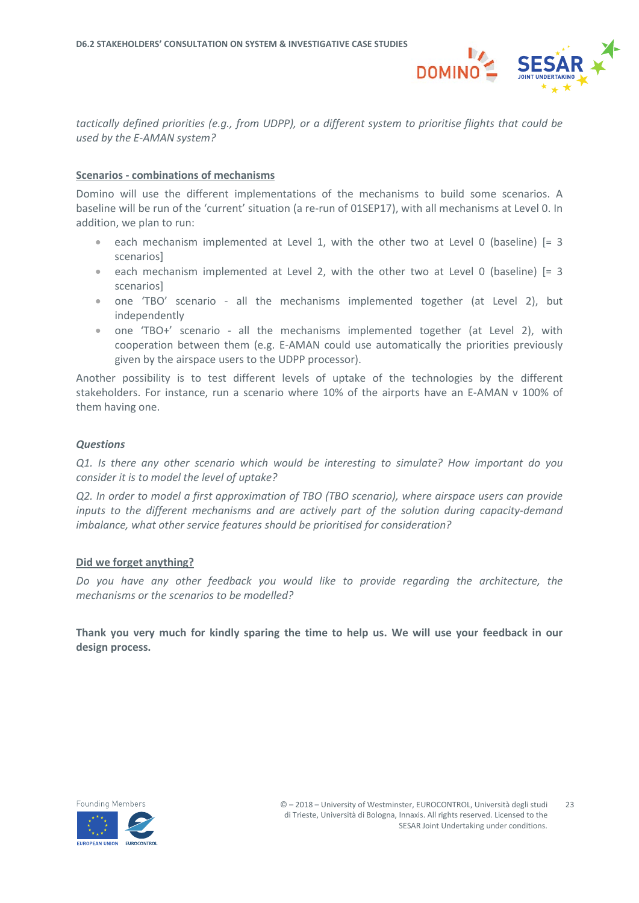

*tactically defined priorities (e.g., from UDPP), or a different system to prioritise flights that could be used by the E-AMAN system?*

#### **Scenarios - combinations of mechanisms**

Domino will use the different implementations of the mechanisms to build some scenarios. A baseline will be run of the 'current' situation (a re-run of 01SEP17), with all mechanisms at Level 0. In addition, we plan to run:

- each mechanism implemented at Level 1, with the other two at Level 0 (baseline) [= 3 scenarios]
- each mechanism implemented at Level 2, with the other two at Level 0 (baseline) [= 3 scenarios]
- one 'TBO' scenario all the mechanisms implemented together (at Level 2), but independently
- one 'TBO+' scenario all the mechanisms implemented together (at Level 2), with cooperation between them (e.g. E-AMAN could use automatically the priorities previously given by the airspace users to the UDPP processor).

Another possibility is to test different levels of uptake of the technologies by the different stakeholders. For instance, run a scenario where 10% of the airports have an E-AMAN v 100% of them having one.

#### *Questions*

*Q1. Is there any other scenario which would be interesting to simulate? How important do you consider it is to model the level of uptake?*

*Q2. In order to model a first approximation of TBO (TBO scenario), where airspace users can provide inputs to the different mechanisms and are actively part of the solution during capacity-demand imbalance, what other service features should be prioritised for consideration?*

#### **Did we forget anything?**

*Do you have any other feedback you would like to provide regarding the architecture, the mechanisms or the scenarios to be modelled?*

**Thank you very much for kindly sparing the time to help us. We will use your feedback in our design process.**